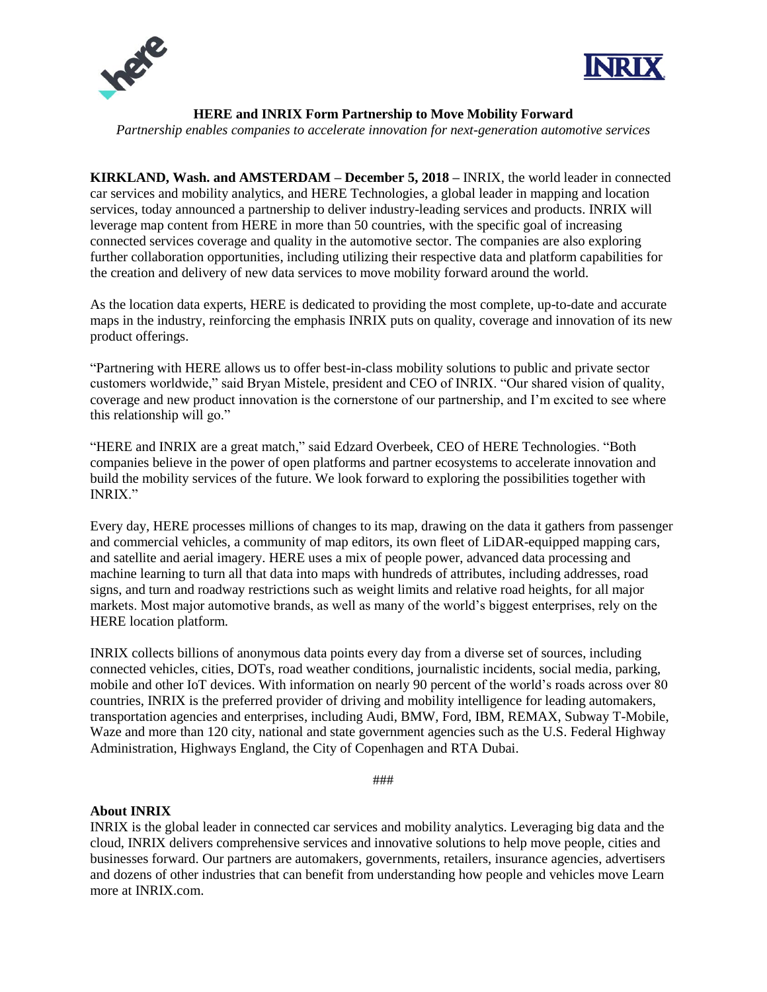



**HERE and INRIX Form Partnership to Move Mobility Forward**

*Partnership enables companies to accelerate innovation for next-generation automotive services*

**KIRKLAND, Wash. and AMSTERDAM – December 5, 2018 –** INRIX, the world leader in connected car services and mobility analytics, and HERE Technologies, a global leader in mapping and location services, today announced a partnership to deliver industry-leading services and products. INRIX will leverage map content from HERE in more than 50 countries, with the specific goal of increasing connected services coverage and quality in the automotive sector. The companies are also exploring further collaboration opportunities, including utilizing their respective data and platform capabilities for the creation and delivery of new data services to move mobility forward around the world.

As the location data experts, HERE is dedicated to providing the most complete, up-to-date and accurate maps in the industry, reinforcing the emphasis INRIX puts on quality, coverage and innovation of its new product offerings.

"Partnering with HERE allows us to offer best-in-class mobility solutions to public and private sector customers worldwide," said Bryan Mistele, president and CEO of INRIX. "Our shared vision of quality, coverage and new product innovation is the cornerstone of our partnership, and I'm excited to see where this relationship will go."

"HERE and INRIX are a great match," said Edzard Overbeek, CEO of HERE Technologies. "Both companies believe in the power of open platforms and partner ecosystems to accelerate innovation and build the mobility services of the future. We look forward to exploring the possibilities together with INRIX."

Every day, HERE processes millions of changes to its map, drawing on the data it gathers from passenger and commercial vehicles, a community of map editors, its own fleet of LiDAR-equipped mapping cars, and satellite and aerial imagery. HERE uses a mix of people power, advanced data processing and machine learning to turn all that data into maps with hundreds of attributes, including addresses, road signs, and turn and roadway restrictions such as weight limits and relative road heights, for all major markets. Most major automotive brands, as well as many of the world's biggest enterprises, rely on the HERE location platform.

INRIX collects billions of anonymous data points every day from a diverse set of sources, including connected vehicles, cities, DOTs, road weather conditions, journalistic incidents, social media, parking, mobile and other IoT devices. With information on nearly 90 percent of the world's roads across over 80 countries, INRIX is the preferred provider of driving and mobility intelligence for leading automakers, transportation agencies and enterprises, including Audi, BMW, Ford, IBM, REMAX, Subway T-Mobile, Waze and more than 120 city, national and state government agencies such as the U.S. Federal Highway Administration, Highways England, the City of Copenhagen and RTA Dubai.

###

## **About INRIX**

INRIX is the global leader in connected car services and mobility analytics. Leveraging big data and the cloud, INRIX delivers comprehensive services and innovative solutions to help move people, cities and businesses forward. Our partners are automakers, governments, retailers, insurance agencies, advertisers and dozens of other industries that can benefit from understanding how people and vehicles move Learn more at INRIX.com.